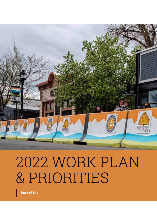

# 2022 WORK PLAN & PRIORITIES

Town of Erie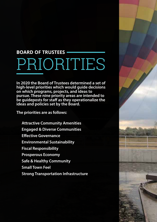# PRIORITIES **BOARD OF TRUSTEES**

**In 2020 the Board of Trustees determined a set of high-level priorities which would guide decisions on which programs, projects, and ideas to pursue. These nine priority areas are intended to be guideposts for staff as they operationalize the ideas and policies set by the Board.** 

**The priorities are as follows:**

**Attractive Community Amenities Engaged & Diverse Communities Effective Governance Environmental Sustainability Fiscal Responsibility Prosperous Economy Safe & Healthy Community Small Town Feel Strong Transportation Infrastructure**

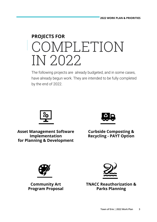# **PROJECTS FOR** COMPLETION IN 2022

The following projects are already budgeted, and in some cases, have already begun work. They are intended to be fully completed by the end of 2022.



**Asset Management Software Implementation for Planning & Development**



**Curbside Composting & Recycling - PAYT Option**



**Community Art Program Proposal**



**TNACC Reauthorization & Parks Planning**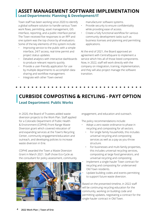### **ASSET MANAGEMENT SOFTWARE IMPLEMENTATION**

#### **Lead Departments: Planning & Development/IT**

Town staff has been working since 2020 to identify a global software solution to handle various Town work flows, permitting, asset management, GIS interface, reporting, and a public interface portal. The Town received five responses to an RFP and one system was the top choice by all evaluators. Some of the key elements of this system include:

- Improving service to the public with a simple interface, 24/7 access, real-time permit and project status updates.
- Detailed analytics with interactive dashboards to produce relevant reports quickly.
- Provide a user-friendly application for use by multiple departments to accomplish data sharing and workflow management.
- Integrate with other Town-owned

manufacturer software systems.

- Provide security to ensure confidentiality while providing ease of access.
- Create a fully functional workflow for various community development tasks such as business licenses and planning and permitting applications.

At the end of 2021, the Board approved an agreement with CentralSquare to implement a service which hits all of those listed components. Now, in 2022, staff will work directly with the company on integration, training, implementation, and they will also project manage the software transition.

# **CURBSIDE COMPOSTING & RECYLING - PAYT OPTION**

#### **Lead Department: Public Works**

In 2020, the Board of Trustees added waste diversion projects to the Work Plan. Staff applied for a Colorado Department of Public Health & Environment (CDPHE) Front Range Waste Diversion grant which covered relocation of and expanding services at the Town's Recycling Center, community engagement/education and outreach, and developing policies to increase waste diversion in Erie.

CDPHE awarded the Town a Waste Diversion Grant in March 2021. Staff chose Eco-Cycle as the consultant for policy assessment, community



engagement, and education and outreach.

The policy recommendations include:

- Adopt a zero waste ordinance to phase in recycling and composting for all sectors.
	- For single family households, this includes universal recycling and composting services as well as a pay-as-you-throw structure.
	- For businesses and multi-family properties, this includes universal recycling services, composting at large food generators, and universal recycling and composting.
- Implement a single-hauler Town contract for recycling and composting for underserved Old Town residents.
- Update building codes and events permitting to support future waste diversion.

Based on the presented timeline, in 2022 staff will be continuing recycling education for the community, working on building code and permitting updates, negotiating a contract for the single-hauler contract in Old Town.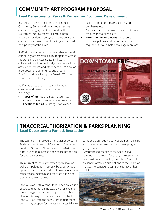# **COMMUNITY ART PROGRAM PROPOSAL**

#### **Lead Departments: Parks & Recreation/Economic Development**

In 2021 the Town completed the biannual Community Survey and organized extensive community engagement surrounding the Downtown Improvements Project. In both instances, residents surveyed made it clear that community art was currently lacking and should be a priority for the Town.

Staff will conduct research about other successful community art programs in municipalities across the state and the county. Staff will work in collaboration with other local governments, local artists, non-profits, and other experts, to develop a proposal for a community arts program in Erie for consideration by the Board of Trustees before the end of the year.

Staff anticipates this proposal will need to consider and research specific areas, including:

- **• Types of art** open air vs. museum vs. murals vs. sculptures vs. interactive art, etc
- **• Locations for art**  existing Town-owned

facilities and open space, explore land purchases, etc.

- **• Cost estimates**  program costs, artist costs, maintenance/upkeep, etc.
- **• Permitting requirements**  what sort of codes, policies, and permits might be required OR could help encourage more art



# **TNACC REAUTHORIZATION & PARKS PLANNING**

# **Lead Department: Parks & Recreation**

The existing 4 mill property tax that supports the Trails, Natural Areas and Community Character Fund (TNACC or TNAF) will sunset in 2024. This fund is used to purchase open space properties for the Town of Erie.

This current revenue generated by this tax, as well as stipulations it may only be used for open space, trails and habitat, do not provide adequate resources to maintain and renovate parks and trails in the Town of Erie.

Staff will work with a consultant to explore asking voters to reauthorize the tax as well as expand the language to allow not just purchasing but also maintaining open space, parks and trails. Staff will work with the consultant to determine community support for increasing accessibility to parks and trails, adding park equipment, building an arts center, or establishing an arts program. going forward.

 Any proposed change to the uses this tax revenue may be used for or any increase in tax rate must be approved by the voters. Staff will present information and options to the Board of Trustees to consider placing on the November ballot.

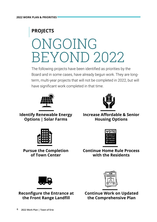# **PROJECTS** ONGOING BEYOND 2022

The following projects have been identified as priorities by the Board and in some cases, have already begun work. They are longterm, multi-year projects that will not be completed in 2022, but will have significant work completed in that time.





**Identify Renewable Energy Options | Solar Farms**

**Increase Affordable & Senior Housing Options**







**Continue Home Rule Process with the Residents**



**Reconfigure the Entrance at the Front Range Landfill**



**Continue Work on Updated the Comprehensive Plan**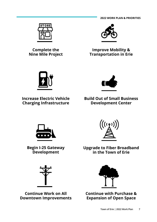**2022 WORK PLAN & PRIORITIES**



**Complete the Nine Mile Project**



#### **Improve Mobility & Transportation in Erie**



**Increase Electric Vehicle Charging Infrastructure**



**Build Out of Small Business Development Center**



**Begin I-25 Gateway Development**



**Continue Work on All Downtown Improvements**



**Upgrade to Fiber Broadband in the Town of Erie**



**Continue with Purchase & Expansion of Open Space**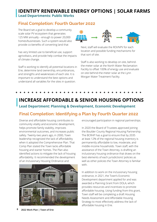#### **Lead Departments: Public Works IDENTIFY RENEWABLE ENERGY OPTIONS | SOLAR FARMS**

#### **Final Completion: Fourth Quarter 2022**

The Board set a goal to develop a community scale solar PV ecosystem that generates 125 MW annually – enough to power 20,000 homes/businesses. Such a system would also provide co-benefits of converting land that

has very limited use to beneficial use, support agrivoltaics, and provide help combat the impacts of climate change.

Staff is working to identify all potential locations in Erie, determine land ownership, encumbrances, and strengths and weaknesses of each site. It is important to understand the best options and understand all variables for the sites in question.



Next, staff will evaluate the ROI/NPV for each location and possible funding mechanisms for that sort of site.

Staff is also working to develop on-site, behindthe-meter solar at the North Water Reclamation Facility to offset 100% of energy use and evaluate on-site behind-the-meter solar at the Lynn Morgan Water Treatment Facility.

# **Lead Department: Planning & Development, Economic Development INCREASE AFFORDABLE & SENIOR HOUSING OPTIONS**

### **Final Completion: Identifying a Plan by Fourth Quarter 2022**

Diverse and affordable housing contributes to community vitality and economic development, helps promote family stability, improves environmental outcomes, and increases public safety. Twenty-two years ago, in 2000, Town leadership recognized the lack of affordability when it adopted the Comprehensive Plan. That Comp Plan stated the Town lacks affordable housing and starter homes. The Plan also identified actions to mitigate the lack of housing affordability. It recommended the development of an Inclusionary Housing Ordinance and



**8 2022 Work Plan | Town of Erie**

encouraged participation in regional partnerships.

In 2020 the Board of Trustees approved joining the Boulder County Regional Housing Partnership. The BCRHP has a goal to ensure that by 2035 at least 12% of the regional housing inventory is permanently affordable to low, moderate, and middle-income households. Town staff, with the assistance of the Town Attorney, is drafting an inclusionary housing ordinance that draws on the best elements of each jurisdictions' policies as well as other policies the Town Attorney is familiar with.

In addition to work on the inclusionary housing ordinance, in 2021, the Town's Economic Development department applied for and was awarded a Planning Grant from DOLA, which provides resources and incentives to promote affordable housing. Using funding from this grant, Town staff will be completing a draft Housing Needs Assessment and Affordable Housing Strategy to most effectively address the lack of affordable housing in Erie.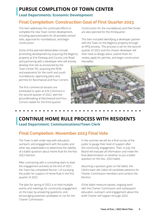# **PURSUE COMPLETION OF TOWN CENTER**

#### **Lead Departments: Economic Development**

### **Final Completion: Construction Goal of First Quarter 2023**

This item addresses the continued efforts to complete the new Town Center development, including approved plans for all privately-owned sites, approval for roundabouts, and begin construction.

Some of the planned deliverables include promoting development by acquiring the Regency property at Erie Parkway and County Line Road and partnering with a developer who will actively

develop that site as envisioned by the Town Center PD; acquiring the ROW and easements for the north and south roundabouts; approving plans and permits for Ranchwood and Four Corners.

The first commercial tenants are scheduled to open at Erie Commons in the second quarter of 2022. with the groundbreaking at Ranchwood and Four Corners slated for the third quarter.

Construction for the roundabouts and Peel Street are also planned for the thirdquarter.

This item included identifying a developer partner with the Town on the Regency property through an RFQ process. This process is set for the second quarter of 2022 and the chosen developer will then have to design plans, submit them for review, apply for permits, and begin construction thereafter.



# **Lead Department: Communications/Town Clerk CONTINUE HOME RULE PROCESS WITH RESIDENTS**

### **Final Completion: November 2023 Final Vote**

The Town is well under way with education, outreach, and engagement with the public and other key stakeholders to determine the viability of a ballot question about Home Rule for the Nov. 2022 Election.

After contracting with a consulting team to lead the engagement activities at the end of 2021, the Town has completed Round 1 of surveying the public for support of Home Rule in the first quarter of 2022.

The plan for spring of 2022 is to hold multiple events and meetings for community engagement on the topic by answering questions, and encouraging potential candidates to run for the Charter Commission.

In the summer we will do a final survey of the public to gauge their level of support after the community engagement. Then, in July, the Board will evaluate all information and make the final determination on whether to put a ballot question on the Nov. 2022 ballot.

Assuming a question goes on the ballot, the Clerk's team will collect all candidate petitions for Charter Commission members and conduct the Election.

If that ballot measure passes, ongoing work with the Charter Commission and subsequent education, outreach, and engagement about the draft Charter will happen through 2023.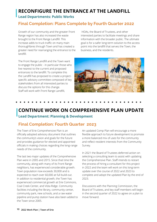# **RECONFIGURE THE ENTRANCE AT THE LANDFILL**

#### **Lead Departments: Public Works**

#### **Final Completion: Plans Complete by Fourth Quarter 2022**

Growth of our community and the greater Front Range region has also increased the waste brought to the Front Range Landfill. This increase adds to truck traffic on many main thoroughfares through Town and has created a greater need for rearranging the entrance to the landfill.

 HOAs, the Board of Trustees, and other interested parties to facilitate meetings and share information with the broader public. The ultimate goal is for a safer long-term solution to the access point into the landfill that serves the Town, the business, and the residents.

The Front Range Landfill and the Town want to engage the public - in particular those who live nearest to the current and proposed entrances to the landfill. To complete this the Landfill has proposed to create a projectspecific advisory committee composed of key stakeholders from all interested parties to discuss the options for this change. Staff will work with Front Range Landfill,



#### **Lead Department: Planning & Development CONTINUE WORK ON COMPREHENSIVE PLAN UPDATE**

#### **Final Completion: Fourth Quarter 2023**

The Town of Erie Comprehensive Plan is an officially adopted advisory document that outlines the community's vision and goals for the future and provides guidance for elected and appointed officials in making choices regarding the long-range needs of the community.

The last two major updates of the Comprehensive Plan were in 2005 and 2015. Since that time the community, along with many of its Front Range neighbors, has experienced considerable growth. Town population now exceeds 30,000 and is expected to reach over 60,000 at full build-out. In addition to residential growth, the Town has experienced commercial growth at Erie Commons, Coal Creek Center, and Vista Ridge. Community facilities including the library, community center, community park, new schools, and a raw water pipeline and pump station have also been added to the Town since 2005.

An updated Comp Plan will encourage a more flexible approach to future development to promote a more balanced mix of uses for the community and reflect resident interests from the Community Survey.

In 2021 the Board of Trustees deferred action on selecting a consulting team to assist with updating the Comprehensive Plan. Staff intends to restart the process of hiring a consultant for this project in 2022 and the team will work on this long-term update over the course of 2022 and 2023 to complete and adopt the updated Plan by the end of 2023.

Discussions with the Planning Commission, the Board of Trustees, and key staff members will begin in the second quarter of 2022 to agree on a plan to move forward.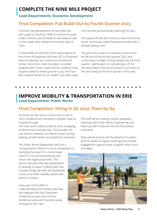# **COMPLETE THE NINE MILE PROJECT**

#### **Lead Departments: Economic Development**

### **Final Completion: Full Build-Out by Fourth Quarter 2023**

Continue new development at Nine Mile site, with a goal of reaching 100% of commercial pads under contract, and complete a land swap to add a Town water tank needed on the west side of Town.

In September of 2020 the Town sold property at the corner of Arapahoe and Hwy 287 to Evergreen Devco to develop as a mixed-use commercial center. Since then, there has been incredible progress with a new Lowe's almost complete, King Soopers slated to break ground in July, and Taco Bell, medical offices for UC Health, and other retail

and commercial businesses opening this year.

This space will also be home to a new multi-family rental community called Outlook Nine Mile that is already leasing units.

The goal is for Lowe's to complete construction by the end of the second quarter 2022 and construction to begin at King Soopers by the third quarter. Staff expects to completing a LOI for the land swap in the second quarter and close on the land swap by the third quarter of this year.

#### **Lead Department: Public Works IMPROVE MOBILITY & TRANSPORTATION IN ERIE**

#### **Final Completion: Hiring in Q2 2022, Plans by Q4**

As shown on the recent Community Survey in 2022, residents are interested in greater ease of mobility through

the Town and to other areas for work, shopping, entertainment and learning. This includes not just vehicle roadways, but better transit, cycling, walking, all with better accessibility for everyone.

The Public Works Department will hire a Transportation Planner to focus completely on

clarifying the vision for a multi-modal future in Erie and representing that vision with regional partners. This person will work with key stakeholders to develop a master mobility plan that includes things like bike and pedestrian routes, and other mobility options like electric scooters.

A key part of this effort is understanding how mobility planning will integrate with the Downtown Infrastructure plan and connect residential areas with business areas throughout the Town.

The staff will be holding monthly walkability meetings with Public Works, Engineering, and Planning staff to discuss how all those pieces intertwine.

Plans will be shared with the Board of Trustees and the public at regular meetings and at other engagement opportunities to gather more input and ideas.

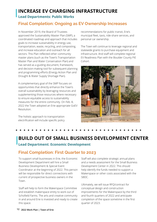# **INCREASE EV CHARGING INFRASTRUCTURE**

#### **Lead Departments: Public Works**

#### **Final Completion: Ongoing as EV Ownership Increases**

In November 2019, the Board of Trustees approved the Sustainability Master Plan (SMP), a coordinated roadmap and approach that includes goals to increase sustainability in energy use, transportation, waste, recycling, and composting, and increase education and outreach for all sectors. This Plan reflected other community master plans (such as the Town's Transportation Master Plan and Water Conservation Plan) and has served as a guiding document, framework, and decision-making tool for subsequent planning and programming efforts (Energy Action Plan and Drought & Water Supply Shortage Plan).

A complementary goal of the SMP focuses on opportunities that directly enhance the Town's overall sustainability by leveraging resources and supplementing those resources where necessary to ensure equitable access to sustainability measures for the entire community. On Feb. 8, 2022 the Town adopted an Erie-appropriate GoEV Resolution.

The holistic approach to transportation electrification will include specific policy recommendations for public transit, Erie's municipal fleet, taxis, ride-share services, and personal car ownership.

The Town will continue to leverage regional and statewide grants to purchase equipment and infrastructure. And staff will complete regional EV Readiness Plan with the Boulder County PiE Cohort.



# **Lead Department: Economic Development BUILD OUT OF SMALL BUSINESS DEVELOPMENT CENTER**

#### **Final Completion: First Quarter to 2023**

To support small businesses in Erie, the Economic Development Department will hire a Small Business Development & Special Event Coordinator at the beginning of 2022. This person will be responsible for direct connections with current of prospective business owners in the Town.

Staff will help to form the Makerspace Committee and establish makerspace entity to work out of Schofield Farms. The arts and creative community in and around Erie is invested and ready to create this space.

Staff will also complete strategic annual plans and a needs assessment for the Small Business Development Center in 2022. This should help identify the funds needed to support a Makerspace or other costs associated with the SBDC.

Ultimately, we will issue RFQ/contract for conceptual design and construction improvements for the Makerspace by the third and fourth quarters of 2022 and anticipate completion of the space sometime in the first quarter of 2023.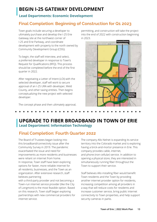# **BEGIN I-25 GATEWAY DEVELOPMENT**

#### **Lead Departments: Economic Development**

#### **Final Completion: Beginning of Construction for Q1 2023**

Town goals include securing a developer to ultimately purchase and develop the I-25 Erie Gateway site at the northwest corner of I-25 and Erie Parkway, and coordinate development with property to the north owned by Community Development Group (CDG).

To begin, the staff will interview, and select, a preferred developer in response to Town's Request for Qualifications (RFQ). This process should be completed before the end of the first quarter in 2022.

After negotiating a Letter of Intent (LOI) with the selected developer, staff will work to secure approval of an I-25 URA with developer, Weld County, and other taxing entities. Then begins conceptualizing the new project with selected developer.

The concept phase and then ultimately approval,

permitting, and construction will take the project into the end of 2022 with construction beginning in 2023.



#### **Lead Department: Information Technology UPGRADE TO FIBER BROADBAND IN TOWN OF ERIE**

### **Final Completion: Fourth Quarter 2022**

The Board of Trustees began looking into this broadband/connectivity issue after the Community Survey in 2019. The pandemic exacerbated the issue and need for improvements as more residents and businesses were reliant on internet from home. In response, Town staff have been exploring options for faster, more reliable internet for all residents, businesses, and the Town as an organization. After extensive research, staff believes partnering

with a third-party provider and not becoming a Town-run internet service provider (like the City of Longmont) is the most feasible option. Based on this research, Town staff began exploring partnerships with new commercial providers for internet service.

The company Allo Nelnet is expanding its service territory into the Colorado market and is exploring having a brick-and-mortor presence in Erie. This company provides cable, internet, and phone (non-cellular) service. In addition to opening a physical store, they are interested in simultaneously running fiber throughout the Town to support their service.

Staff believes Allo installing fiber would benefit Town residents and the Town by providing another internet provider option for residents, increasing competition among all providers in a way that will reduce costs for residents and increase customer service, bring public internet connectivity to Town properties, and help support security cameras in parks.